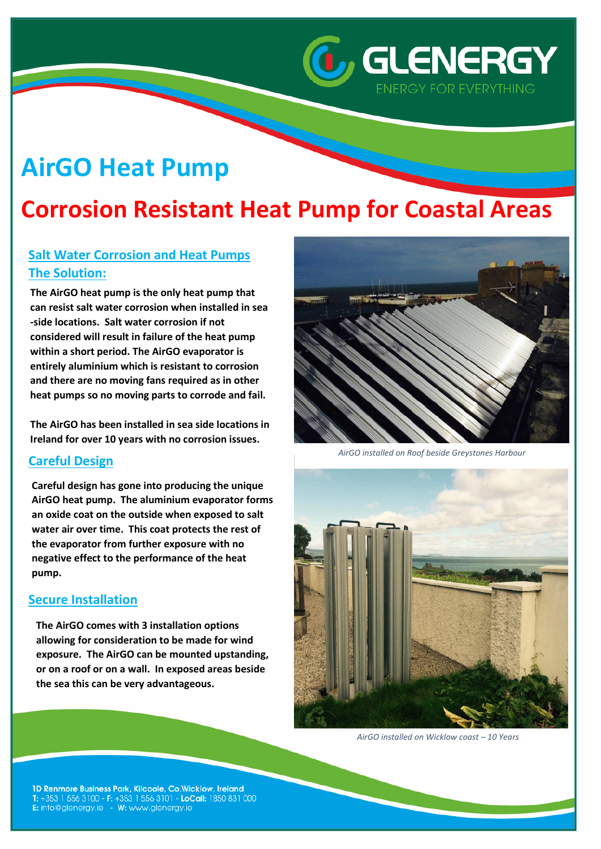# **AirGO Heat Pump**

## **Corrosion Resistant Heat Pump for Coastal Areas**

### **Salt Water Corrosion and Heat Pumps The Solution:**

**The AirGO heat pump is the only heat pump that can resist salt water corrosion when installed in sea -side locations. Salt water corrosion if not considered will result in failure of the heat pump within a short period. The AirGO evaporator is entirely aluminium which is resistant to corrosion and there are no moving fans required as in other heat pumps so no moving parts to corrode and fail.**

**Results: The AirGO has been installed in sea side locations in Ireland for over 10 years with no corrosion issues.** 

#### **Careful Design**

**Careful design has gone into producing the unique AirGO heat pump. The aluminium evaporator forms an oxide coat on the outside when exposed to salt water air over time. This coat protects the rest of the evaporator from further exposure with no negative effect to the performance of the heat pump.**

#### **Secure Installation**

**The AirGO comes with 3 installation options allowing for consideration to be made for wind exposure. The AirGO can be mounted upstanding, or on a roof or on a wall. In exposed areas beside the sea this can be very advantageous.** 



*C*, GLENERGY

**ENERGY FOR EVERYTHING** 

*AirGO installed on Roof beside Greystones Harbour*



*AirGO installed on Wicklow coast – 10 Years*

1D Renmore Business Park, Kilcoole, Co.Wicklow, Ireland T: +353 1 556 3100 - F: +353 1 556 3101 - LoCall: 1850 831 000 E: info@glenergy.ie - W: www.glenergy.ie